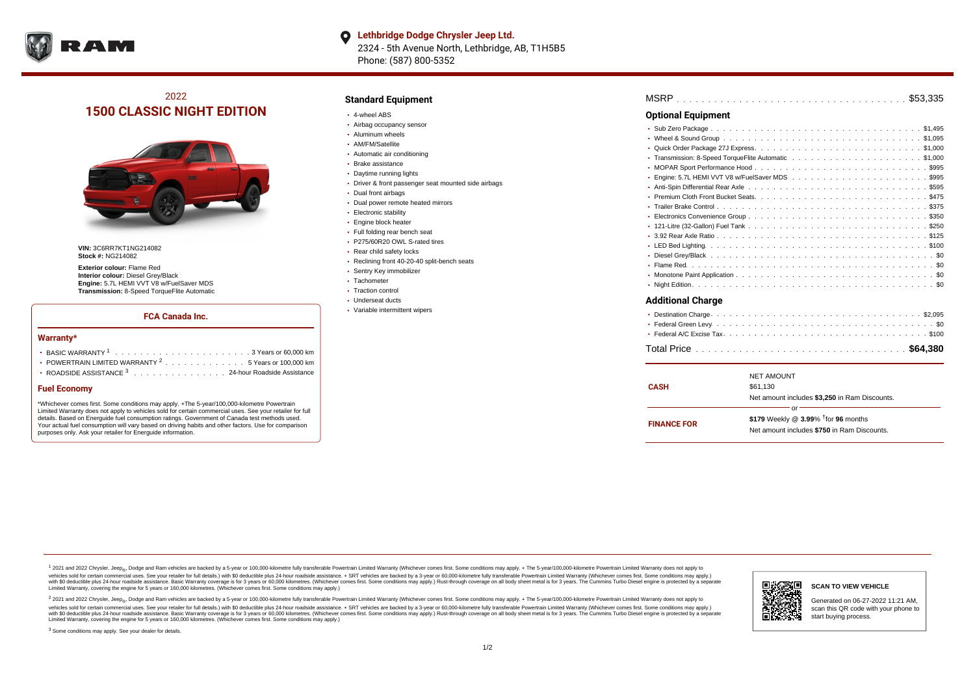

#### **Lethbridge Dodge Chrysler Jeep Ltd.**  $\bullet$ 2324 - 5th Avenue North, Lethbridge, AB, T1H5B5

Phone: (587) 800-5352

## 2022 **1500 CLASSIC NIGHT EDITION**



**VIN:** 3C6RR7KT1NG214082 **Stock #:** NG214082

**Exterior colour:** Flame Red **Interior colour:** Diesel Grey/Black **Engine:** 5.7L HEMI VVT V8 w/FuelSaver MDS **Transmission:** 8-Speed TorqueFlite Automatic

## **FCA Canada Inc.**

#### **Warranty\***

| • POWERTRAIN LIMITED WARRANTY $2, \ldots, \ldots, \ldots, \ldots, 5$ Years or 100,000 km |
|------------------------------------------------------------------------------------------|
| ROADSIDE ASSISTANCE 3 24-hour Roadside Assistance                                        |

### **Fuel Economy**

\*Whichever comes first. Some conditions may apply. +The 5-year/100,000-kilometre Powertrain Limited Warranty does not apply to vehicles sold for certain commercial uses. See your retailer for full details. Based on Energuide fuel consumption ratings. Government of Canada test methods used. Your actual fuel consumption will vary based on driving habits and other factors. Use for comparison purposes only. Ask your retailer for Energuide information.

## **Standard Equipment**

- 4-wheel ABS
- Airbag occupancy sensor
- Aluminum wheels
- AM/FM/Satellite
- Automatic air conditioning
- Brake assistance
- Daytime running lights
- Driver & front passenger seat mounted side airbags
- Dual front airbags
- Dual power remote heated mirrors
- **Electronic stability**
- Engine block heater
- Full folding rear bench seat
- P275/60R20 OWL S-rated tires
- Rear child safety locks
- Reclining front 40-20-40 split-bench seats
- Sentry Key immobilizer
- Tachometer
- Traction control
- Underseat ducts
- Variable intermittent wipers

| <b>Optional Equipment</b> |  |
|---------------------------|--|
|                           |  |
|                           |  |
|                           |  |
|                           |  |
|                           |  |
|                           |  |
|                           |  |
|                           |  |
|                           |  |
|                           |  |
|                           |  |
|                           |  |
|                           |  |
|                           |  |
|                           |  |
|                           |  |
|                           |  |
| <b>Additional Charge</b>  |  |
|                           |  |
|                           |  |
|                           |  |

|--|

| <b>CASH</b>        | <b>NET AMOUNT</b><br>\$61.130                      |  |  |  |
|--------------------|----------------------------------------------------|--|--|--|
|                    | Net amount includes \$3,250 in Ram Discounts.      |  |  |  |
| or                 |                                                    |  |  |  |
|                    | \$179 Weekly @ $3.99\%$ <sup>†</sup> for 96 months |  |  |  |
| <b>FINANCE FOR</b> | Net amount includes \$750 in Ram Discounts.        |  |  |  |

<sup>1</sup> 2021 and 2022 Chrysler, Jeep<sub>®</sub>, Dodge and Ram vehicles are backed by a 5-year or 100,000-kilometre fully transferable Powertrain Limited Warranty (Whichever comes first. Some conditions may apply. + The 5-year/100,000 vehicles sold for certain commercial uses. See your retailer for full details.) with \$0 deductible plus 24-hour roadside assistance. + SRT vehicles are backed by a 3-year or 60,000-kilometre fully transferable Powertrain L versus and contract the mean of the contract of the contract with a contract with a contract the contract of the contract of the contract the contract of the contract of the contract of the contract of the contract of the Limited Warranty, covering the engine for 5 years or 160,000 kilometres. (Whichever comes first. Some conditions may apply.)

2 2021 and 2022 Chrysler, Jeep<sub>®</sub>, Dodge and Ram vehicles are backed by a 5-year or 100,000-kilometre fully transferable Powertrain Limited Warranty (Whichever comes first. Some conditions may apply. + The 5-year/100,000-k vehicles sold for certain commercial uses. See your retailer for full details.) with SO deductible plus 24-hour roadside assistance. + SRT vehicles are backed by a 3-year or 60.000-kilometre fully transferable Powertrain. with S0 deductible plus 24-hour roadside assistance. Basic Warranty coverage is for 3 years or 60,000 kilometres. (Whichever comes first. Some conditions may apply.) Rust-through coverage on all body sheet metal is for 3 y



**SCAN TO VIEW VEHICLE**

Generated on 06-27-2022 11:21 AM, scan this QR code with your phone to start buying process.

<sup>3</sup> Some conditions may apply. See your dealer for details.